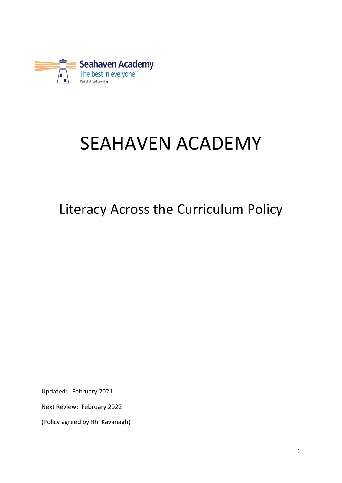

# SEAHAVEN ACADEMY

# Literacy Across the Curriculum Policy

Updated: February 2021

Next Review: February 2022

(Policy agreed by Rhi Kavanagh)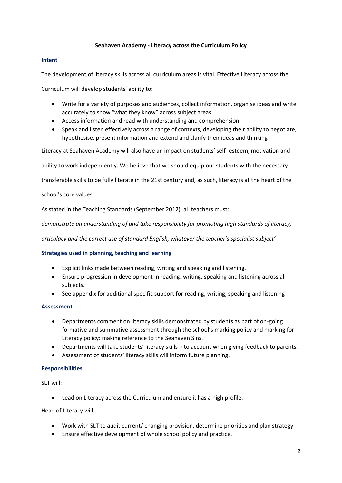#### **Seahaven Academy - Literacy across the Curriculum Policy**

#### **Intent**

The development of literacy skills across all curriculum areas is vital. Effective Literacy across the

Curriculum will develop students' ability to:

- Write for a variety of purposes and audiences, collect information, organise ideas and write accurately to show "what they know" across subject areas
- Access information and read with understanding and comprehension
- Speak and listen effectively across a range of contexts, developing their ability to negotiate, hypothesise, present information and extend and clarify their ideas and thinking

Literacy at Seahaven Academy will also have an impact on students' self‐ esteem, motivation and

ability to work independently. We believe that we should equip our students with the necessary

transferable skills to be fully literate in the 21st century and, as such, literacy is at the heart of the

school's core values.

As stated in the Teaching Standards (September 2012), all teachers must:

*demonstrate an understanding of and take responsibility for promoting high standards of literacy,*

*articulacy and the correct use of standard English, whatever the teacher's specialist subject'*

#### **Strategies used in planning, teaching and learning**

- Explicit links made between reading, writing and speaking and listening.
- Ensure progression in development in reading, writing, speaking and listening across all subjects.
- See appendix for additional specific support for reading, writing, speaking and listening

#### **Assessment**

- Departments comment on literacy skills demonstrated by students as part of on-going formative and summative assessment through the school's marking policy and marking for Literacy policy: making reference to the Seahaven Sins.
- Departments will take students' literacy skills into account when giving feedback to parents.
- Assessment of students' literacy skills will inform future planning.

#### **Responsibilities**

SLT will:

• Lead on Literacy across the Curriculum and ensure it has a high profile.

Head of Literacy will:

- Work with SLT to audit current/ changing provision, determine priorities and plan strategy.
- Ensure effective development of whole school policy and practice.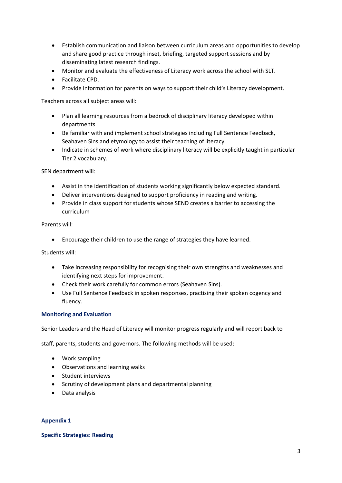- Establish communication and liaison between curriculum areas and opportunities to develop and share good practice through inset, briefing, targeted support sessions and by disseminating latest research findings.
- Monitor and evaluate the effectiveness of Literacy work across the school with SLT.
- Facilitate CPD.
- Provide information for parents on ways to support their child's Literacy development.

Teachers across all subject areas will:

- Plan all learning resources from a bedrock of disciplinary literacy developed within departments
- Be familiar with and implement school strategies including Full Sentence Feedback, Seahaven Sins and etymology to assist their teaching of literacy.
- Indicate in schemes of work where disciplinary literacy will be explicitly taught in particular Tier 2 vocabulary.

SEN department will:

- Assist in the identification of students working significantly below expected standard.
- Deliver interventions designed to support proficiency in reading and writing.
- Provide in class support for students whose SEND creates a barrier to accessing the curriculum

Parents will:

• Encourage their children to use the range of strategies they have learned.

Students will:

- Take increasing responsibility for recognising their own strengths and weaknesses and identifying next steps for improvement.
- Check their work carefully for common errors (Seahaven Sins).
- Use Full Sentence Feedback in spoken responses, practising their spoken cogency and fluency.

#### **Monitoring and Evaluation**

Senior Leaders and the Head of Literacy will monitor progress regularly and will report back to

staff, parents, students and governors. The following methods will be used:

- Work sampling
- Observations and learning walks
- Student interviews
- Scrutiny of development plans and departmental planning
- Data analysis

#### **Appendix 1**

#### **Specific Strategies: Reading**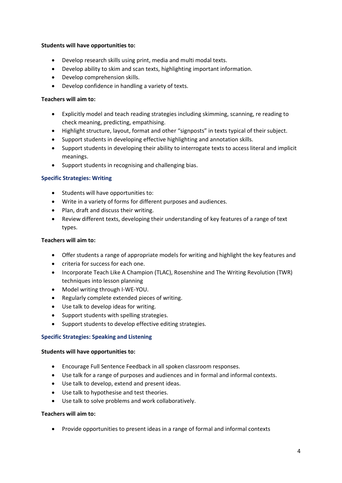#### **Students will have opportunities to:**

- Develop research skills using print, media and multi modal texts.
- Develop ability to skim and scan texts, highlighting important information.
- Develop comprehension skills.
- Develop confidence in handling a variety of texts.

# **Teachers will aim to:**

- Explicitly model and teach reading strategies including skimming, scanning, re reading to check meaning, predicting, empathising.
- Highlight structure, layout, format and other "signposts" in texts typical of their subject.
- Support students in developing effective highlighting and annotation skills.
- Support students in developing their ability to interrogate texts to access literal and implicit meanings.
- Support students in recognising and challenging bias.

# **Specific Strategies: Writing**

- Students will have opportunities to:
- Write in a variety of forms for different purposes and audiences.
- Plan, draft and discuss their writing.
- Review different texts, developing their understanding of key features of a range of text types.

# **Teachers will aim to:**

- Offer students a range of appropriate models for writing and highlight the key features and
- criteria for success for each one.
- Incorporate Teach Like A Champion (TLAC), Rosenshine and The Writing Revolution (TWR) techniques into lesson planning
- Model writing through I‐WE‐YOU.
- Regularly complete extended pieces of writing.
- Use talk to develop ideas for writing.
- Support students with spelling strategies.
- Support students to develop effective editing strategies.

# **Specific Strategies: Speaking and Listening**

# **Students will have opportunities to:**

- Encourage Full Sentence Feedback in all spoken classroom responses.
- Use talk for a range of purposes and audiences and in formal and informal contexts.
- Use talk to develop, extend and present ideas.
- Use talk to hypothesise and test theories.
- Use talk to solve problems and work collaboratively.

# **Teachers will aim to:**

• Provide opportunities to present ideas in a range of formal and informal contexts